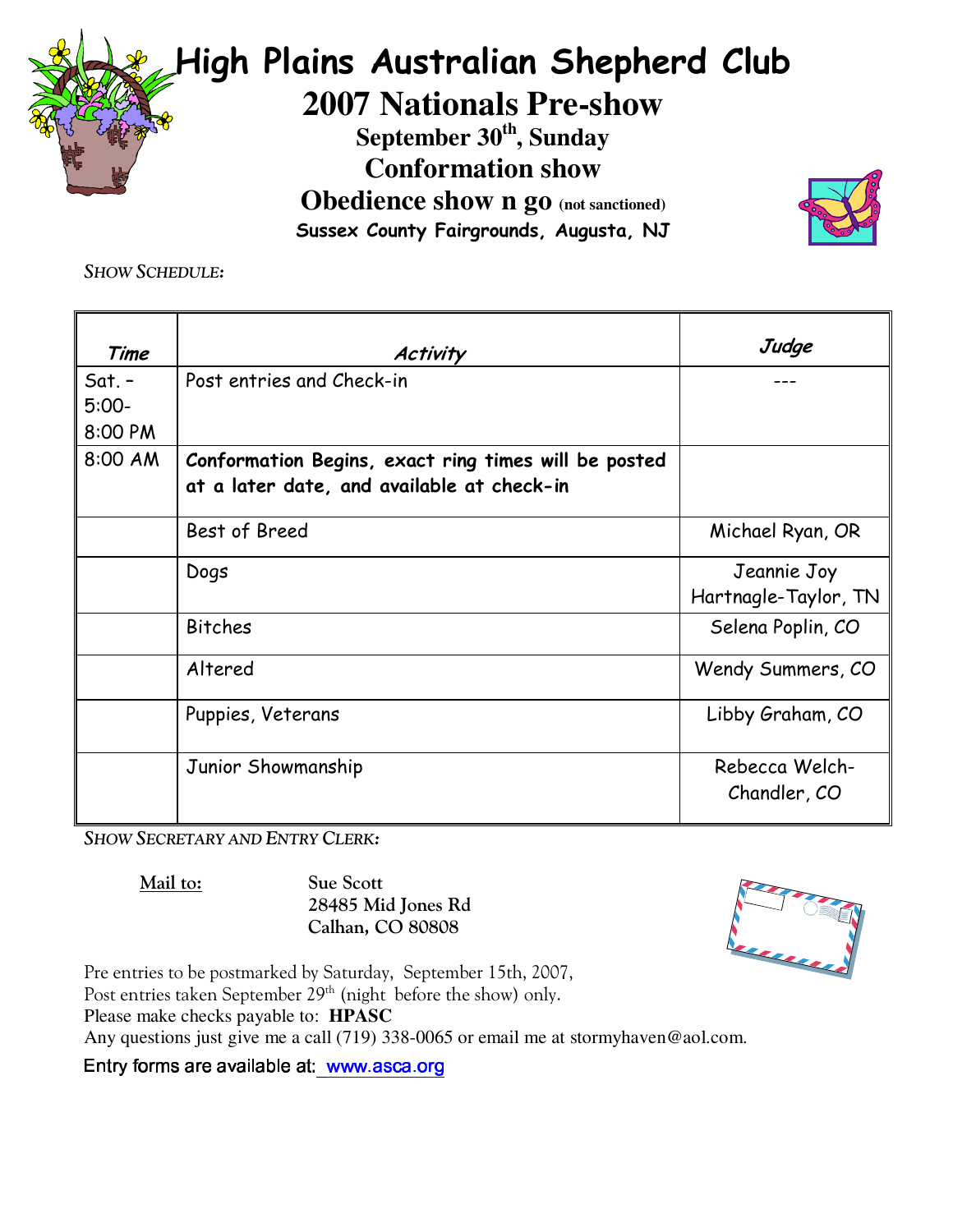

Sussex County Fairgrounds, Augusta, NJ



**SHOW SCHEDULE:** 

| Time                | <b>Activity</b>                                                                                    | Judge                               |
|---------------------|----------------------------------------------------------------------------------------------------|-------------------------------------|
| $Sat. -$<br>$5:00-$ | Post entries and Check-in                                                                          |                                     |
| 8:00 PM             |                                                                                                    |                                     |
| 8:00 AM             | Conformation Begins, exact ring times will be posted<br>at a later date, and available at check-in |                                     |
|                     | Best of Breed                                                                                      | Michael Ryan, OR                    |
|                     | Dogs                                                                                               | Jeannie Joy<br>Hartnagle-Taylor, TN |
|                     | <b>Bitches</b>                                                                                     | Selena Poplin, CO                   |
|                     | Altered                                                                                            | Wendy Summers, CO                   |
|                     | Puppies, Veterans                                                                                  | Libby Graham, CO                    |
|                     | Junior Showmanship                                                                                 | Rebecca Welch-<br>Chandler, CO      |

**SHOW SECRETARY AND ENTRY CLERK:** 

Mail to:

**Sue Scott** 28485 Mid Jones Rd Calhan, CO 80808

V UR

Pre entries to be postmarked by Saturday, September 15th, 2007, Post entries taken September 29<sup>th</sup> (night before the show) only. Please make checks payable to: HPASC

Any questions just give me a call (719) 338-0065 or email me at stormyhaven@aol.com.

Entry forms are available at: www.asca.org